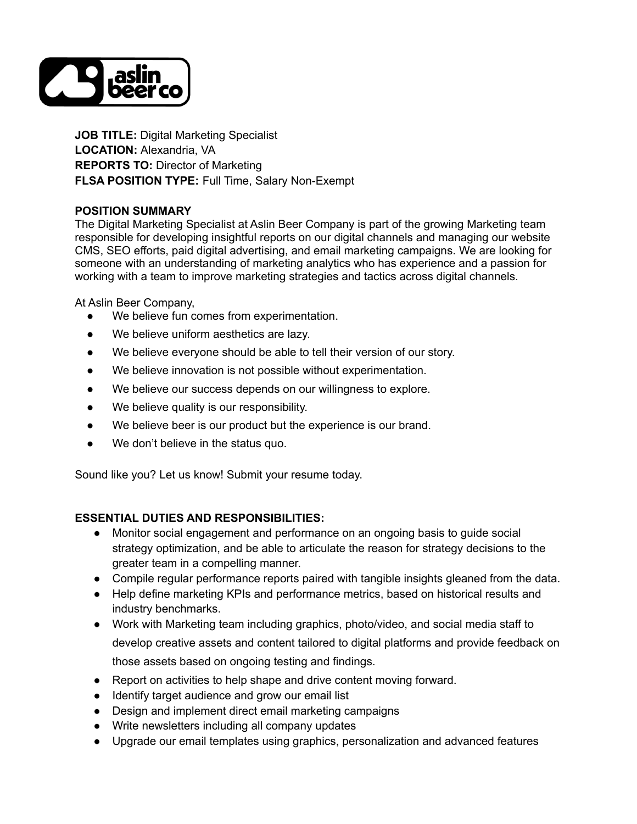

**JOB TITLE:** Digital Marketing Specialist **LOCATION:** Alexandria, VA **REPORTS TO:** Director of Marketing **FLSA POSITION TYPE:** Full Time, Salary Non-Exempt

#### **POSITION SUMMARY**

The Digital Marketing Specialist at Aslin Beer Company is part of the growing Marketing team responsible for developing insightful reports on our digital channels and managing our website CMS, SEO efforts, paid digital advertising, and email marketing campaigns. We are looking for someone with an understanding of marketing analytics who has experience and a passion for working with a team to improve marketing strategies and tactics across digital channels.

At Aslin Beer Company,

- We believe fun comes from experimentation.
- We believe uniform aesthetics are lazy.
- We believe everyone should be able to tell their version of our story.
- We believe innovation is not possible without experimentation.
- We believe our success depends on our willingness to explore.
- We believe quality is our responsibility.
- We believe beer is our product but the experience is our brand.
- We don't believe in the status quo.

Sound like you? Let us know! Submit your resume today.

#### **ESSENTIAL DUTIES AND RESPONSIBILITIES:**

- Monitor social engagement and performance on an ongoing basis to guide social strategy optimization, and be able to articulate the reason for strategy decisions to the greater team in a compelling manner.
- Compile regular performance reports paired with tangible insights gleaned from the data.
- Help define marketing KPIs and performance metrics, based on historical results and industry benchmarks.
- Work with Marketing team including graphics, photo/video, and social media staff to develop creative assets and content tailored to digital platforms and provide feedback on those assets based on ongoing testing and findings.
- Report on activities to help shape and drive content moving forward.
- Identify target audience and grow our email list
- Design and implement direct email marketing campaigns
- Write newsletters including all company updates
- Upgrade our email templates using graphics, personalization and advanced features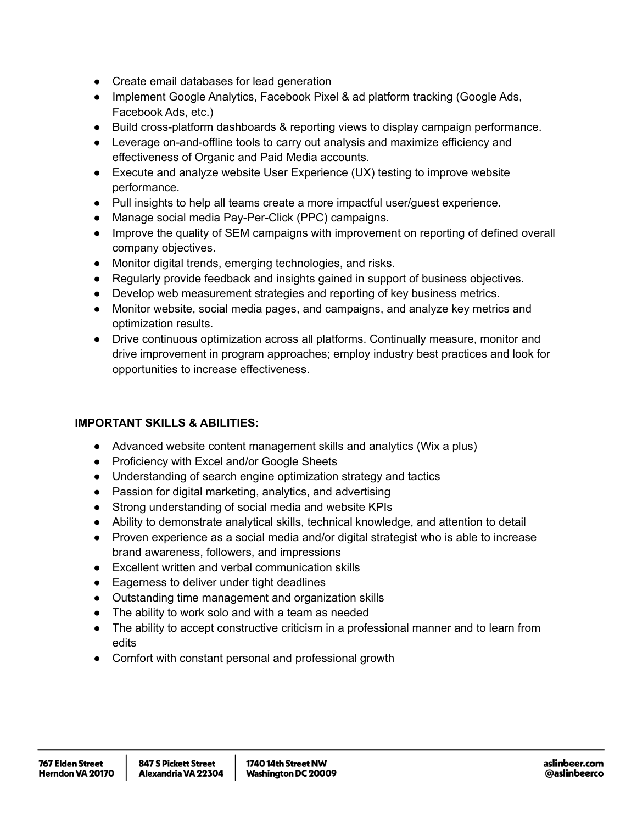- Create email databases for lead generation
- Implement Google Analytics, Facebook Pixel & ad platform tracking (Google Ads, Facebook Ads, etc.)
- Build cross-platform dashboards & reporting views to display campaign performance.
- Leverage on-and-offline tools to carry out analysis and maximize efficiency and effectiveness of Organic and Paid Media accounts.
- Execute and analyze website User Experience (UX) testing to improve website performance.
- Pull insights to help all teams create a more impactful user/guest experience.
- Manage social media Pay-Per-Click (PPC) campaigns.
- Improve the quality of SEM campaigns with improvement on reporting of defined overall company objectives.
- Monitor digital trends, emerging technologies, and risks.
- Regularly provide feedback and insights gained in support of business objectives.
- Develop web measurement strategies and reporting of key business metrics.
- Monitor website, social media pages, and campaigns, and analyze key metrics and optimization results.
- Drive continuous optimization across all platforms. Continually measure, monitor and drive improvement in program approaches; employ industry best practices and look for opportunities to increase effectiveness.

## **IMPORTANT SKILLS & ABILITIES:**

- Advanced website content management skills and analytics (Wix a plus)
- Proficiency with Excel and/or Google Sheets
- Understanding of search engine optimization strategy and tactics
- Passion for digital marketing, analytics, and advertising
- Strong understanding of social media and website KPIs
- Ability to demonstrate analytical skills, technical knowledge, and attention to detail
- Proven experience as a social media and/or digital strategist who is able to increase brand awareness, followers, and impressions
- Excellent written and verbal communication skills
- Eagerness to deliver under tight deadlines
- Outstanding time management and organization skills
- The ability to work solo and with a team as needed
- The ability to accept constructive criticism in a professional manner and to learn from edits
- Comfort with constant personal and professional growth